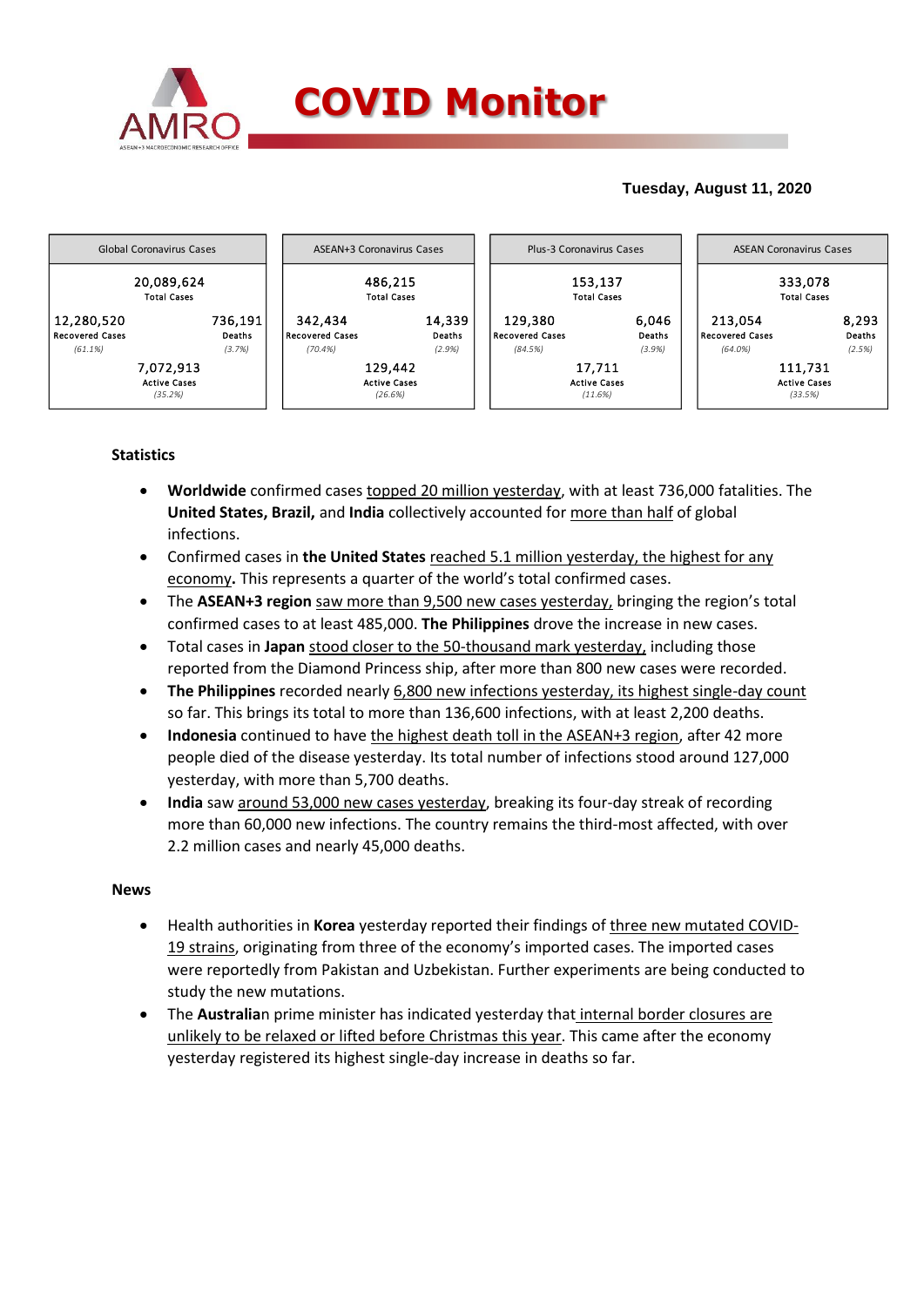

## **Tuesday, August 11, 2020**



## **Statistics**

- **Worldwide** confirmed cases topped 20 million yesterday, with at least 736,000 fatalities. The **United States, Brazil,** and **India** collectively accounted for more than half of global infections.
- Confirmed cases in **the United States** reached 5.1 million yesterday, the highest for any economy**.** This represents a quarter of the world's total confirmed cases.
- The **ASEAN+3 region** saw more than 9,500 new cases yesterday, bringing the region's total confirmed cases to at least 485,000. **The Philippines** drove the increase in new cases.
- Total cases in **Japan** stood closer to the 50-thousand mark yesterday, including those reported from the Diamond Princess ship, after more than 800 new cases were recorded.
- **The Philippines** recorded nearly 6,800 new infections yesterday, its highest single-day count so far. This brings its total to more than 136,600 infections, with at least 2,200 deaths.
- **Indonesia** continued to have the highest death toll in the ASEAN+3 region, after 42 more people died of the disease yesterday. Its total number of infections stood around 127,000 yesterday, with more than 5,700 deaths.
- **India** saw around 53,000 new cases yesterday, breaking its four-day streak of recording more than 60,000 new infections. The country remains the third-most affected, with over 2.2 million cases and nearly 45,000 deaths.

## **News**

- Health authorities in **Korea** yesterday reported their findings of three new mutated COVID-19 strains, originating from three of the economy's imported cases. The imported cases were reportedly from Pakistan and Uzbekistan. Further experiments are being conducted to study the new mutations.
- The **Australia**n prime minister has indicated yesterday that internal border closures are unlikely to be relaxed or lifted before Christmas this year. This came after the economy yesterday registered its highest single-day increase in deaths so far.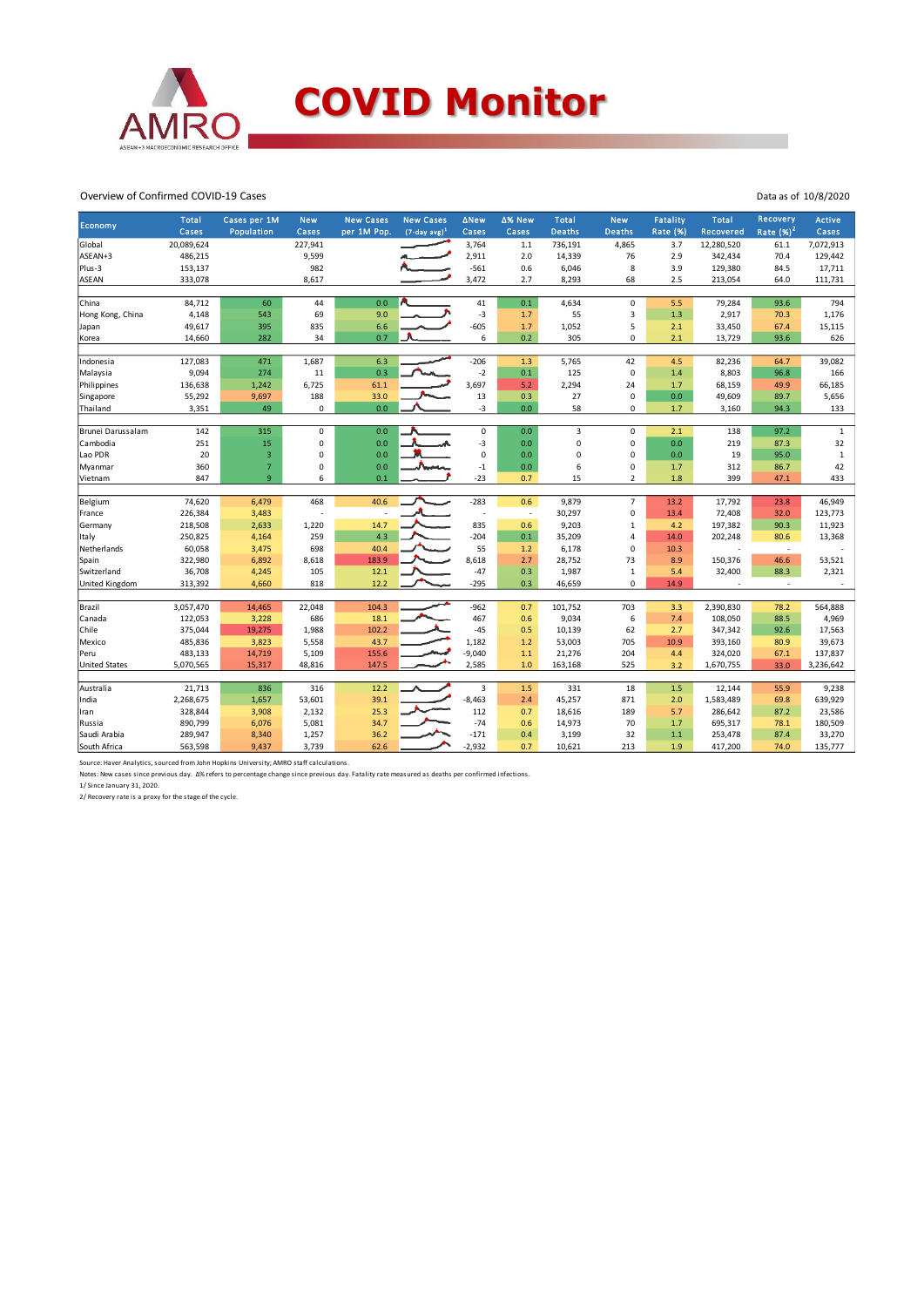

### Overview of Confirmed COVID-19 Cases

| Economy              | Total<br>Cases | Cases per 1M<br>Population | <b>New</b><br>Cases | <b>New Cases</b><br>per 1M Pop. | <b>New Cases</b><br>$(7-day avg)^1$ | <b>ANew</b><br>Cases    | ∆% New<br>Cases          | Total<br><b>Deaths</b> | <b>New</b><br><b>Deaths</b> | <b>Fatality</b><br>Rate (%) | Total<br>Recovered | Recovery<br>Rate $(%)2$  | <b>Active</b><br>Cases |
|----------------------|----------------|----------------------------|---------------------|---------------------------------|-------------------------------------|-------------------------|--------------------------|------------------------|-----------------------------|-----------------------------|--------------------|--------------------------|------------------------|
| Global               | 20,089,624     |                            | 227,941             |                                 |                                     | 3,764                   | $1.1$                    | 736,191                | 4,865                       | 3.7                         | 12,280,520         | 61.1                     | 7,072,913              |
| ASEAN+3              | 486,215        |                            | 9,599               |                                 |                                     | 2,911                   | 2.0                      | 14,339                 | 76                          | 2.9                         | 342,434            | 70.4                     | 129,442                |
| Plus-3               | 153,137        |                            | 982                 |                                 |                                     | $-561$                  | 0.6                      | 6,046                  | 8                           | 3.9                         | 129,380            | 84.5                     | 17,711                 |
| <b>ASEAN</b>         | 333,078        |                            | 8,617               |                                 |                                     | 3,472                   | 2.7                      | 8,293                  | 68                          | 2.5                         | 213,054            | 64.0                     | 111,731                |
|                      |                |                            |                     |                                 |                                     |                         |                          |                        |                             |                             |                    |                          |                        |
| China                | 84,712         | 60                         | 44                  | 0.0                             |                                     | 41                      | 0.1                      | 4,634                  | $\mathsf 0$                 | 5.5                         | 79,284             | 93.6                     | 794                    |
| Hong Kong, China     | 4,148          | 543                        | 69                  | 9.0                             |                                     | $-3$                    | 1.7                      | 55                     | $\overline{3}$              | 1.3                         | 2,917              | 70.3                     | 1,176                  |
| Japan                | 49,617         | 395                        | 835                 | 6.6                             |                                     | $-605$                  | 1.7                      | 1,052                  | 5                           | 2.1                         | 33,450             | 67.4                     | 15,115                 |
| Korea                | 14,660         | 282                        | 34                  | 0.7                             |                                     | 6                       | 0.2                      | 305                    | 0                           | 2.1                         | 13,729             | 93.6                     | 626                    |
| Indonesia            | 127,083        | 471                        | 1,687               | 6.3                             |                                     | $-206$                  | 1.3                      | 5,765                  | 42                          | 4.5                         | 82,236             | 64.7                     | 39,082                 |
| Malaysia             | 9,094          | 274                        | 11                  | 0.3                             |                                     | $-2$                    | 0.1                      | 125                    | $\pmb{0}$                   | 1.4                         | 8,803              | 96.8                     | 166                    |
| Philippines          | 136,638        | 1,242                      | 6,725               | 61.1                            |                                     | 3,697                   | 5.2                      | 2,294                  | 24                          | 1.7                         | 68,159             | 49.9                     | 66,185                 |
| Singapore            | 55,292         | 9,697                      | 188                 | 33.0                            |                                     | 13                      | 0.3                      | 27                     | $\mathsf 0$                 | 0.0                         | 49,609             | 89.7                     | 5,656                  |
| Thailand             | 3,351          | 49                         | 0                   | 0.0                             |                                     | -3                      | 0.0                      | 58                     | 0                           | 1.7                         | 3,160              | 94.3                     | 133                    |
|                      |                |                            |                     |                                 |                                     |                         |                          |                        |                             |                             |                    |                          |                        |
| Brunei Darussalam    | 142            | 315                        | $\mathbf 0$         | 0.0                             |                                     | 0                       | 0.0                      | 3                      | $\mathbf 0$                 | 2.1                         | 138                | 97.2                     | $\mathbf{1}$           |
| Cambodia             | 251            | 15                         | 0                   | 0.0                             |                                     | $-3$                    | 0.0                      | 0                      | 0                           | 0.0                         | 219                | 87.3                     | 32                     |
| Lao PDR              | 20             | 3                          | 0                   | 0.0                             |                                     | $\Omega$                | 0.0                      | 0                      | 0                           | 0.0                         | 19                 | 95.0                     | $\mathbf{1}$           |
| Myanmar              | 360            | $\overline{7}$             | 0                   | 0.0                             |                                     | $-1$                    | 0.0                      | 6                      | 0                           | 1.7                         | 312                | 86.7                     | 42                     |
| Vietnam              | 847            | 9                          | 6                   | 0.1                             |                                     | $-23$                   | 0.7                      | 15                     | $\overline{2}$              | 1.8                         | 399                | 47.1                     | 433                    |
|                      |                |                            |                     |                                 |                                     |                         |                          |                        |                             |                             |                    |                          |                        |
| Belgium              | 74,620         | 6,479                      | 468                 | 40.6                            |                                     | $-283$                  | 0.6                      | 9,879                  | $\overline{7}$              | 13.2                        | 17,792             | 23.8                     | 46,949                 |
| France               | 226,384        | 3,483                      |                     |                                 |                                     |                         | $\overline{\phantom{a}}$ | 30,297                 | $\mathsf 0$                 | 13.4                        | 72,408             | 32.0                     | 123,773                |
| Germany              | 218,508        | 2,633                      | 1,220               | 14.7                            |                                     | 835                     | 0.6                      | 9,203                  | $\mathbf{1}$                | 4.2                         | 197,382            | 90.3                     | 11,923                 |
| Italy                | 250,825        | 4,164                      | 259                 | 4.3                             |                                     | $-204$                  | 0.1                      | 35,209                 | 4                           | 14.0                        | 202,248            | 80.6                     | 13,368                 |
| Netherlands          | 60,058         | 3,475                      | 698                 | 40.4                            |                                     | 55                      | 1.2                      | 6,178                  | 0                           | 10.3                        |                    | $\overline{\phantom{a}}$ |                        |
| Spain                | 322,980        | 6,892                      | 8,618               | 183.9                           |                                     | 8,618                   | 2.7                      | 28,752                 | 73                          | 8.9                         | 150,376            | 46.6                     | 53,521                 |
| Switzerland          | 36,708         | 4,245                      | 105                 | 12.1                            |                                     | $-47$                   | 0.3                      | 1,987                  | $\mathbf 1$                 | 5.4                         | 32,400             | 88.3                     | 2,321                  |
| United Kingdom       | 313,392        | 4,660                      | 818                 | 12.2                            |                                     | $-295$                  | 0.3                      | 46,659                 | $\Omega$                    | 14.9                        |                    | $\overline{\phantom{a}}$ |                        |
| Brazil               | 3,057,470      | 14,465                     | 22,048              | 104.3                           |                                     | $-962$                  | 0.7                      | 101,752                | 703                         | 3.3                         | 2,390,830          | 78.2                     | 564,888                |
| Canada               | 122,053        | 3,228                      | 686                 | 18.1                            |                                     | 467                     | 0.6                      | 9,034                  | 6                           | 7.4                         | 108,050            | 88.5                     | 4,969                  |
| Chile                | 375,044        | 19,275                     | 1,988               | 102.2                           |                                     | $-45$                   | 0.5                      | 10,139                 | 62                          | 2.7                         | 347,342            | 92.6                     | 17,563                 |
| Mexico               | 485,836        | 3,823                      | 5,558               | 43.7                            |                                     | 1,182                   | 1.2                      | 53,003                 | 705                         | 10.9                        | 393,160            | 80.9                     | 39,673                 |
| Peru                 | 483,133        | 14,719                     | 5,109               | 155.6                           |                                     | $-9,040$                | $1.1$                    | 21,276                 | 204                         | 4.4                         | 324,020            | 67.1                     | 137,837                |
| <b>United States</b> | 5,070,565      | 15,317                     | 48,816              | 147.5                           |                                     | 2,585                   | 1.0                      | 163,168                | 525                         | 3.2                         | 1,670,755          | 33.0                     | 3,236,642              |
|                      |                |                            |                     |                                 |                                     |                         |                          |                        |                             |                             |                    |                          |                        |
| Australia            | 21,713         | 836                        | 316                 | 12.2                            |                                     | $\overline{\mathbf{3}}$ | 1.5                      | 331                    | 18                          | 1.5                         | 12,144             | 55.9                     | 9,238                  |
| India                | 2,268,675      | 1,657                      | 53,601              | 39.1                            |                                     | $-8,463$                | 2.4                      | 45,257                 | 871                         | 2.0                         | 1,583,489          | 69.8                     | 639,929                |
| Iran                 | 328,844        | 3,908                      | 2,132               | 25.3                            |                                     | 112                     | 0.7                      | 18,616                 | 189                         | 5.7                         | 286,642            | 87.2                     | 23,586                 |
| Russia               | 890,799        | 6,076                      | 5,081               | 34.7                            |                                     | $-74$                   | 0.6                      | 14,973                 | 70                          | 1.7                         | 695,317            | 78.1                     | 180,509                |
| Saudi Arabia         | 289,947        | 8,340                      | 1,257               | 36.2                            |                                     | $-171$                  | 0.4                      | 3,199                  | 32                          | 1.1                         | 253,478            | 87.4                     | 33,270                 |
| South Africa         | 563,598        | 9,437                      | 3,739               | 62.6                            |                                     | $-2,932$                | 0.7                      | 10,621                 | 213                         | 1.9                         | 417,200            | 74.0                     | 135,777                |

Source: Haver Analytics, sourced from John Hopkins University; AMRO staff calculations.

Notes: New cases since previous day. ∆% refers to percentage change since previous day. Fatality rate measured as deaths per confirmed infections.<br>1/ Since January 31, 2020.<br>2/ Recovery rate is a proxy for the stage of the

Data as of 10/8/2020